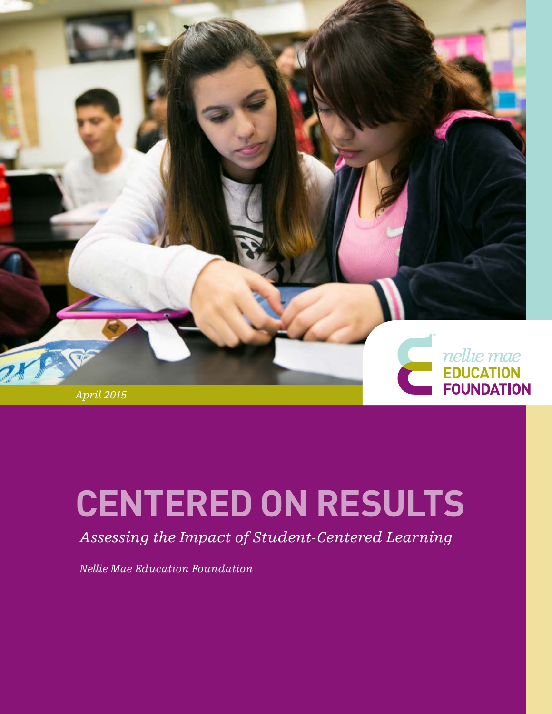

# **CENTERED ON RESULTS**

*Assessing the Impact of Student-Centered Learning* 

*Nellie Mae Education Foundation*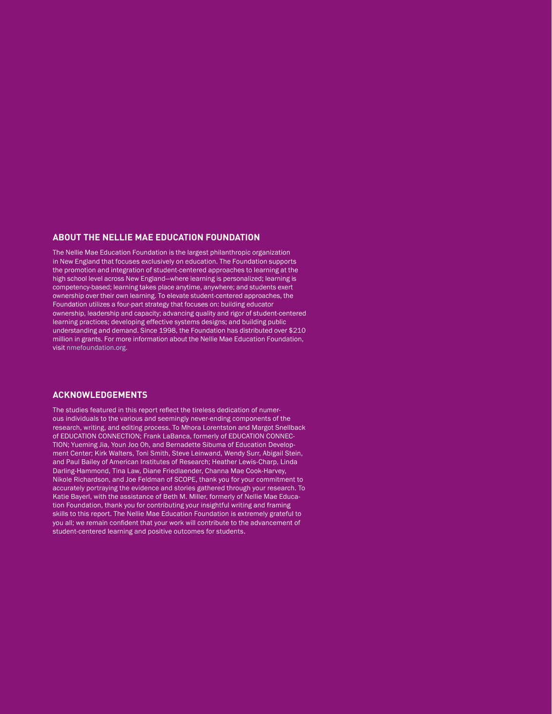#### **ABOUT THE NELLIE MAE EDUCATION FOUNDATION**

The Nellie Mae Education Foundation is the largest philanthropic organization in New England that focuses exclusively on education. The Foundation supports the promotion and integration of student-centered approaches to learning at the high school level across New England—where learning is personalized; learning is competency-based; learning takes place anytime, anywhere; and students exert ownership over their own learning. To elevate student-centered approaches, the Foundation utilizes a four-part strategy that focuses on: building educator ownership, leadership and capacity; advancing quality and rigor of student-centered learning practices; developing effective systems designs; and building public understanding and demand. Since 1998, the Foundation has distributed over \$210 million in grants. For more information about the Nellie Mae Education Foundation, visit [nmefoundation.org.](http://www.nmefoundation.org)

#### **ACKNOWLEDGEMENTS**

The studies featured in this report reflect the tireless dedication of numerous individuals to the various and seemingly never-ending components of the research, writing, and editing process. To Mhora Lorentston and Margot Snellback of EDUCATION CONNECTION; Frank LaBanca, formerly of EDUCATION CONNEC-TION; Yueming Jia, Youn Joo Oh, and Bernadette Sibuma of Education Development Center; Kirk Walters, Toni Smith, Steve Leinwand, Wendy Surr, Abigail Stein, and Paul Bailey of American Institutes of Research; Heather Lewis-Charp, Linda Darling-Hammond, Tina Law, Diane Friedlaender, Channa Mae Cook-Harvey, Nikole Richardson, and Joe Feldman of SCOPE, thank you for your commitment to accurately portraying the evidence and stories gathered through your research. To Katie Bayerl, with the assistance of Beth M. Miller, formerly of Nellie Mae Education Foundation, thank you for contributing your insightful writing and framing skills to this report. The Nellie Mae Education Foundation is extremely grateful to you all; we remain confident that your work will contribute to the advancement of student-centered learning and positive outcomes for students.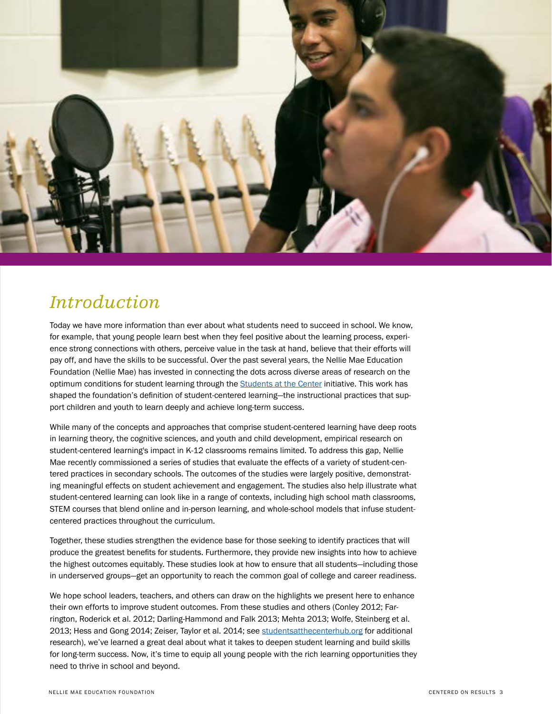

### *Introduction*

Today we have more information than ever about what students need to succeed in school. We know, for example, that young people learn best when they feel positive about the learning process, experience strong connections with others, perceive value in the task at hand, believe that their efforts will pay off, and have the skills to be successful. Over the past several years, the Nellie Mae Education Foundation (Nellie Mae) has invested in connecting the dots across diverse areas of research on the optimum conditions for student learning through the [Students at the Center](http://studentsatthecenterhub.org/about/) initiative. This work has shaped the foundation's definition of student-centered learning—the instructional practices that support children and youth to learn deeply and achieve long-term success.

While many of the concepts and approaches that comprise student-centered learning have deep roots in learning theory, the cognitive sciences, and youth and child development, empirical research on student-centered learning's impact in K-12 classrooms remains limited. To address this gap, Nellie Mae recently commissioned a series of studies that evaluate the effects of a variety of student-centered practices in secondary schools. The outcomes of the studies were largely positive, demonstrating meaningful effects on student achievement and engagement. The studies also help illustrate what student-centered learning can look like in a range of contexts, including high school math classrooms, STEM courses that blend online and in-person learning, and whole-school models that infuse studentcentered practices throughout the curriculum.

Together, these studies strengthen the evidence base for those seeking to identify practices that will produce the greatest benefits for students. Furthermore, they provide new insights into how to achieve the highest outcomes equitably. These studies look at how to ensure that all students—including those in underserved groups—get an opportunity to reach the common goal of college and career readiness.

We hope school leaders, teachers, and others can draw on the highlights we present here to enhance their own efforts to improve student outcomes. From these studies and others (Conley 2012; Farrington, Roderick et al. 2012; Darling-Hammond and Falk 2013; Mehta 2013; Wolfe, Steinberg et al. 2013; Hess and Gong 2014; Zeiser, Taylor et al. 2014; see [studentsatthecenterhub.org](http://studentsatthecenterhub.org) for additional research), we've learned a great deal about what it takes to deepen student learning and build skills for long-term success. Now, it's time to equip all young people with the rich learning opportunities they need to thrive in school and beyond.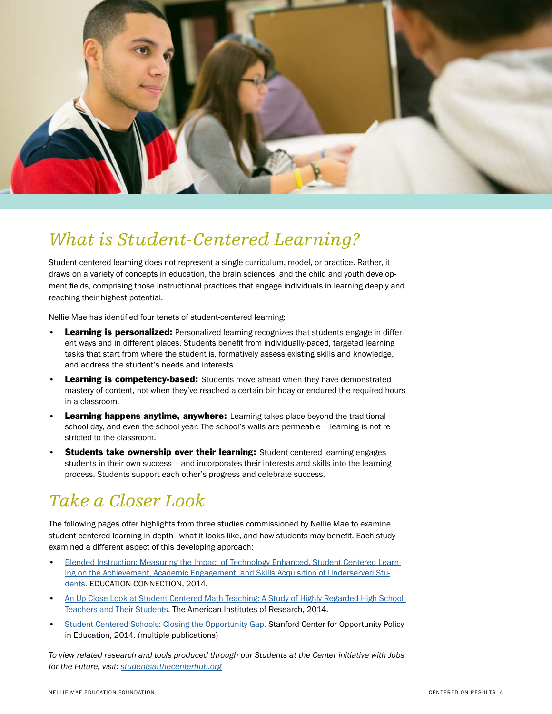

## *What is Student-Centered Learning?*

Student-centered learning does not represent a single curriculum, model, or practice. Rather, it draws on a variety of concepts in education, the brain sciences, and the child and youth development fields, comprising those instructional practices that engage individuals in learning deeply and reaching their highest potential.

Nellie Mae has identified four tenets of student-centered learning:

- **Learning is personalized:** Personalized learning recognizes that students engage in different ways and in different places. Students benefit from individually-paced, targeted learning tasks that start from where the student is, formatively assess existing skills and knowledge, and address the student's needs and interests.
- **Learning is competency-based:** Students move ahead when they have demonstrated mastery of content, not when they've reached a certain birthday or endured the required hours in a classroom.
- **Learning happens anytime, anywhere:** Learning takes place beyond the traditional school day, and even the school year. The school's walls are permeable – learning is not restricted to the classroom.
- **Students take ownership over their learning:** Student-centered learning engages students in their own success – and incorporates their interests and skills into the learning process. Students support each other's progress and celebrate success.

# *Take a Closer Look*

The following pages offer highlights from three studies commissioned by Nellie Mae to examine student-centered learning in depth—what it looks like, and how students may benefit. Each study examined a different aspect of this developing approach:

- [Blended Instruction: Measuring the Impact of Technology-Enhanced, Student-Centered Learn](http://www.nmefoundation.org/resources/student-centered-learning/blended-instruction)[ing on the Achievement, Academic Engagement, and Skills Acquisition of Underserved Stu](http://www.nmefoundation.org/resources/student-centered-learning/blended-instruction)[dents.](http://www.nmefoundation.org/resources/student-centered-learning/blended-instruction) EDUCATION CONNECTION, 2014.
- [An Up-Close Look at Student-Centered Math Teaching: A Study of Highly Regarded High School](http://www.nmefoundation.org/resources/student-centered-learning/an-up-close-look-at-student-centered-math-teaching)  [Teachers and Their Students.](http://www.nmefoundation.org/resources/student-centered-learning/an-up-close-look-at-student-centered-math-teaching) The American Institutes of Research, 2014.
- [Student-Centered Schools: Closing the Opportunity Gap.](http://www.nmefoundation.org/resources/student-centered-learning/student-centered-schools-study-closing-the-opportu) Stanford Center for Opportunity Policy in Education, 2014. (multiple publications)

*To view related research and tools produced through our Students at the Center initiative with Jobs for the Future, visit: [studentsatthecenterhub.org](http://studentsatthecenterhub.org/)*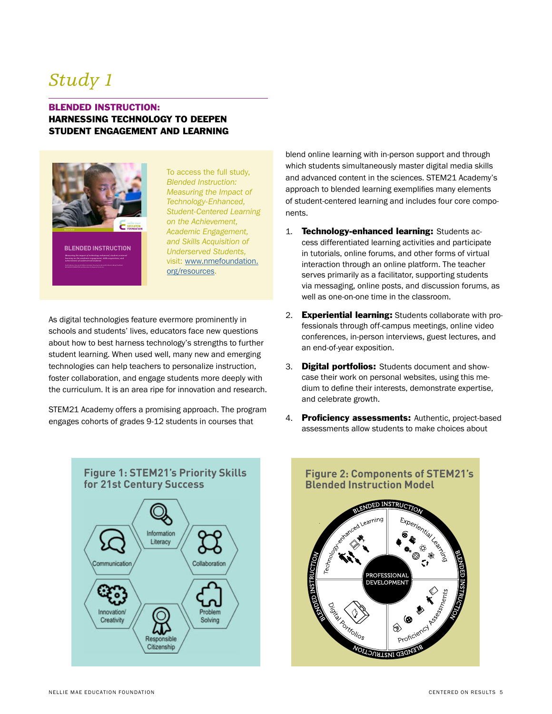### *Study 1*

### BLENDED INSTRUCTION: HARNESSING TECHNOLOGY TO DEEPEN STUDENT ENGAGEMENT AND LEARNING



**[BLENDED INSTRUCTION](http://www.nmefoundation.org/resources/student-centered-learning/centered-on-results)** *Measuring the impact of technology-enhanced, student-centered learning on the academic engagement, skills acquisition, and achievement of underserved students*

To access the full study, *Blended Instruction: Measuring the Impact of Technology-Enhanced, Student-Centered Learning on the Achievement, Academic Engagement, and Skills Acquisition of Underserved Students,*  visit: [www.nmefoundation.](http://www.nmefoundation.org/resources/student-centered-learning/centered-on-results) [org/resources.](http://www.nmefoundation.org/resources/student-centered-learning/centered-on-results)

As digital technologies feature evermore prominently in schools and students' lives, educators face new questions about how to best harness technology's strengths to further student learning. When used well, many new and emerging technologies can help teachers to personalize instruction, foster collaboration, and engage students more deeply with the curriculum. It is an area ripe for innovation and research.

STEM21 Academy offers a promising approach. The program engages cohorts of grades 9-12 students in courses that



blend online learning with in-person support and through which students simultaneously master digital media skills and advanced content in the sciences. STEM21 Academy's approach to blended learning exemplifies many elements of student-centered learning and includes four core components.

- 1. **Technology-enhanced learning:** Students access differentiated learning activities and participate in tutorials, online forums, and other forms of virtual interaction through an online platform. The teacher serves primarily as a facilitator, supporting students via messaging, online posts, and discussion forums, as well as one-on-one time in the classroom.
- 2. **Experiential learning:** Students collaborate with professionals through off-campus meetings, online video conferences, in-person interviews, guest lectures, and an end-of-year exposition.
- 3. Digital portfolios: Students document and showcase their work on personal websites, using this medium to define their interests, demonstrate expertise, and celebrate growth.
- 4. Proficiency assessments: Authentic, project-based assessments allow students to make choices about

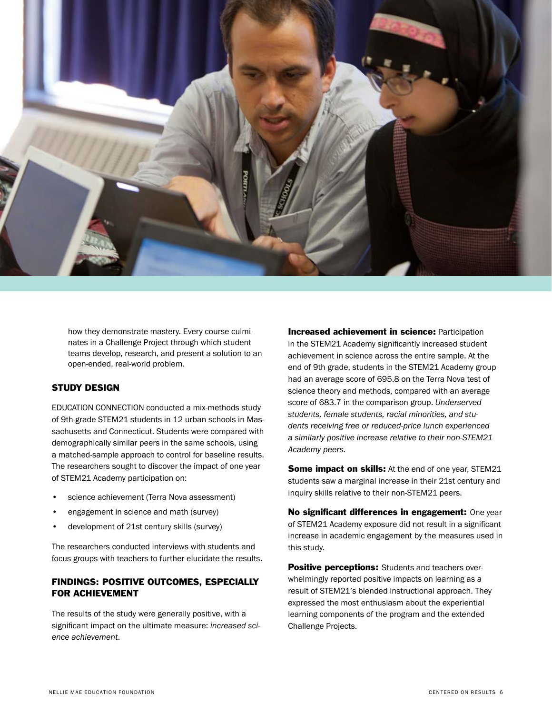

how they demonstrate mastery. Every course culminates in a Challenge Project through which student teams develop, research, and present a solution to an open-ended, real-world problem.

### STUDY DESIGN

EDUCATION CONNECTION conducted a mix-methods study of 9th-grade STEM21 students in 12 urban schools in Massachusetts and Connecticut. Students were compared with demographically similar peers in the same schools, using a matched-sample approach to control for baseline results. The researchers sought to discover the impact of one year of STEM21 Academy participation on:

- science achievement (Terra Nova assessment)
- engagement in science and math (survey)
- development of 21st century skills (survey)

The researchers conducted interviews with students and focus groups with teachers to further elucidate the results.

### FINDINGS: POSITIVE OUTCOMES, ESPECIALLY FOR ACHIEVEMENT

The results of the study were generally positive, with a significant impact on the ultimate measure: *increased science achievement*.

Increased achievement in science: Participation in the STEM21 Academy significantly increased student achievement in science across the entire sample. At the end of 9th grade, students in the STEM21 Academy group had an average score of 695.8 on the Terra Nova test of science theory and methods, compared with an average score of 683.7 in the comparison group. *Underserved students, female students, racial minorities, and students receiving free or reduced-price lunch experienced a similarly positive increase relative to their non-STEM21 Academy peers.*

**Some impact on skills:** At the end of one year, STEM21 students saw a marginal increase in their 21st century and inquiry skills relative to their non-STEM21 peers.

No significant differences in engagement: One year of STEM21 Academy exposure did not result in a significant increase in academic engagement by the measures used in this study.

Positive perceptions: Students and teachers overwhelmingly reported positive impacts on learning as a result of STEM21's blended instructional approach. They expressed the most enthusiasm about the experiential learning components of the program and the extended Challenge Projects.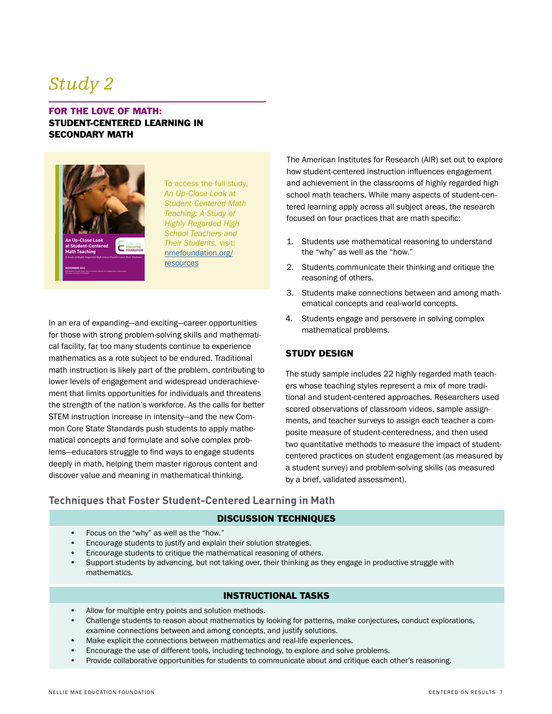### *Study 2*

### FOR THE LOVE OF MATH: STUDENT-CENTERED LEARNING IN SECONDARY MATH



To access the full study, *An Up-Close Look at Student-Centered Math Teaching: A Study of Highly Regarded High School Teachers and Their Students,* visit: [nmefoundation.org/](http://www.nmefoundation.org/resources/student-centered-learning/an-up-close-look-at-student-centered-math-teaching) **[resources](http://www.nmefoundation.org/resources/student-centered-learning/an-up-close-look-at-student-centered-math-teaching)** 

In an era of expanding—and exciting—career opportunities for those with strong problem-solving skills and mathematical facility, far too many students continue to experience mathematics as a rote subject to be endured. Traditional math instruction is likely part of the problem, contributing to lower levels of engagement and widespread underachievement that limits opportunities for individuals and threatens the strength of the nation's workforce. As the calls for better STEM instruction increase in intensity—and the new Common Core State Standards push students to apply mathematical concepts and formulate and solve complex problems—educators struggle to find ways to engage students deeply in math, helping them master rigorous content and discover value and meaning in mathematical thinking.

The American Institutes for Research (AIR) set out to explore how student-centered instruction influences engagement and achievement in the classrooms of highly regarded high school math teachers. While many aspects of student-centered learning apply across all subject areas, the research focused on four practices that are math specific:

- 1. Students use mathematical reasoning to understand the "why" as well as the "how."
- 2. Students communicate their thinking and critique the reasoning of others.
- 3. Students make connections between and among mathematical concepts and real-world concepts.
- 4. Students engage and persevere in solving complex mathematical problems.

### STUDY DESIGN

The study sample includes 22 highly regarded math teachers whose teaching styles represent a mix of more traditional and student-centered approaches. Researchers used scored observations of classroom videos, sample assignments, and teacher surveys to assign each teacher a composite measure of student-centeredness, and then used two quantitative methods to measure the impact of studentcentered practices on student engagement (as measured by a student survey) and problem-solving skills (as measured by a brief, validated assessment).

### **Techniques that Foster Student-Centered Learning in Math**

#### DISCUSSION TECHNIQUES

- Focus on the "why" as well as the "how."
- Encourage students to justify and explain their solution strategies.
- Encourage students to critique the mathematical reasoning of others.
- Support students by advancing, but not taking over, their thinking as they engage in productive struggle with mathematics.

### INSTRUCTIONAL TASKS

- Allow for multiple entry points and solution methods.
- Challenge students to reason about mathematics by looking for patterns, make conjectures, conduct explorations, examine connections between and among concepts, and justify solutions.
- Make explicit the connections between mathematics and real-life experiences.
- Encourage the use of different tools, including technology, to explore and solve problems.
- Provide collaborative opportunities for students to communicate about and critique each other's reasoning.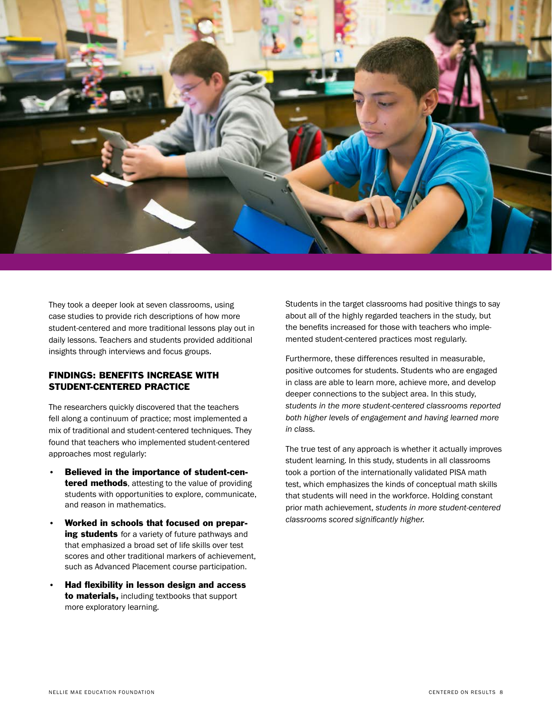

They took a deeper look at seven classrooms, using case studies to provide rich descriptions of how more student-centered and more traditional lessons play out in daily lessons. Teachers and students provided additional insights through interviews and focus groups.

### FINDINGS: BENEFITS INCREASE WITH STUDENT-CENTERED PRACTICE

The researchers quickly discovered that the teachers fell along a continuum of practice; most implemented a mix of traditional and student-centered techniques. They found that teachers who implemented student-centered approaches most regularly:

- Believed in the importance of student-cen**tered methods**, attesting to the value of providing students with opportunities to explore, communicate, and reason in mathematics.
- Worked in schools that focused on preparing students for a variety of future pathways and that emphasized a broad set of life skills over test scores and other traditional markers of achievement, such as Advanced Placement course participation.
- Had flexibility in lesson design and access to materials, including textbooks that support more exploratory learning.

Students in the target classrooms had positive things to say about all of the highly regarded teachers in the study, but the benefits increased for those with teachers who implemented student-centered practices most regularly.

Furthermore, these differences resulted in measurable, positive outcomes for students. Students who are engaged in class are able to learn more, achieve more, and develop deeper connections to the subject area. In this study, *students in the more student-centered classrooms reported both higher levels of engagement and having learned more in clas*s.

The true test of any approach is whether it actually improves student learning. In this study, students in all classrooms took a portion of the internationally validated PISA math test, which emphasizes the kinds of conceptual math skills that students will need in the workforce. Holding constant prior math achievement, *students in more student-centered classrooms scored significantly higher.*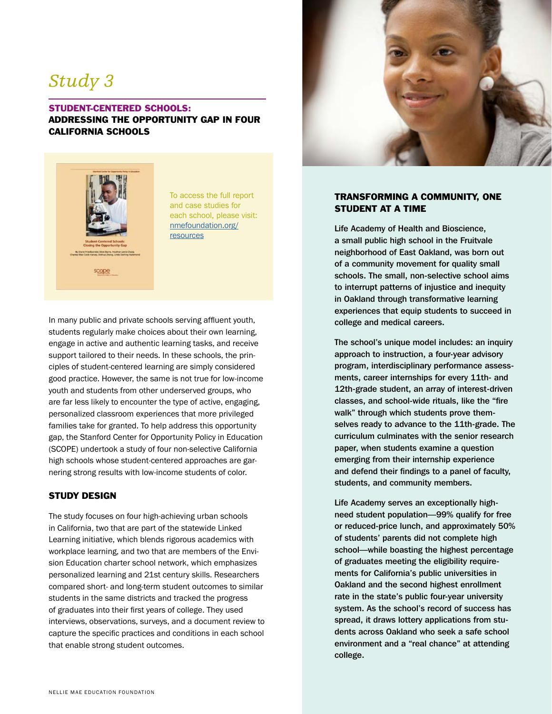### *Study 3*

### STUDENT-CENTERED SCHOOLS: ADDRESSING THE OPPORTUNITY GAP IN FOUR CALIFORNIA SCHOOLS



To access the full report and case studies for each school, please visit: [nmefoundation.org/](http://www.nmefoundation.org/resources/student-centered-learning/student-centered-schools-study-closing-the-opportu) [resources](http://www.nmefoundation.org/resources/student-centered-learning/student-centered-schools-study-closing-the-opportu)

In many public and private schools serving affluent youth, students regularly make choices about their own learning, engage in active and authentic learning tasks, and receive support tailored to their needs. In these schools, the principles of student-centered learning are simply considered good practice. However, the same is not true for low-income youth and students from other underserved groups, who are far less likely to encounter the type of active, engaging, personalized classroom experiences that more privileged families take for granted. To help address this opportunity gap, the Stanford Center for Opportunity Policy in Education (SCOPE) undertook a study of four non-selective California high schools whose student-centered approaches are garnering strong results with low-income students of color.

### STUDY DESIGN

The study focuses on four high-achieving urban schools in California, two that are part of the statewide Linked Learning initiative, which blends rigorous academics with workplace learning, and two that are members of the Envision Education charter school network, which emphasizes personalized learning and 21st century skills. Researchers compared short- and long-term student outcomes to similar students in the same districts and tracked the progress of graduates into their first years of college. They used interviews, observations, surveys, and a document review to capture the specific practices and conditions in each school that enable strong student outcomes.



#### TRANSFORMING A COMMUNITY, ONE STUDENT AT A TIME

Life Academy of Health and Bioscience, a small public high school in the Fruitvale neighborhood of East Oakland, was born out of a community movement for quality small schools. The small, non-selective school aims to interrupt patterns of injustice and inequity in Oakland through transformative learning experiences that equip students to succeed in college and medical careers.

The school's unique model includes: an inquiry approach to instruction, a four-year advisory program, interdisciplinary performance assessments, career internships for every 11th- and 12th-grade student, an array of interest-driven classes, and school-wide rituals, like the "fire walk" through which students prove themselves ready to advance to the 11th-grade. The curriculum culminates with the senior research paper, when students examine a question emerging from their internship experience and defend their findings to a panel of faculty, students, and community members.

Life Academy serves an exceptionally highneed student population—99% qualify for free or reduced-price lunch, and approximately 50% of students' parents did not complete high school—while boasting the highest percentage of graduates meeting the eligibility requirements for California's public universities in Oakland and the second highest enrollment rate in the state's public four-year university system. As the school's record of success has spread, it draws lottery applications from students across Oakland who seek a safe school environment and a "real chance" at attending college.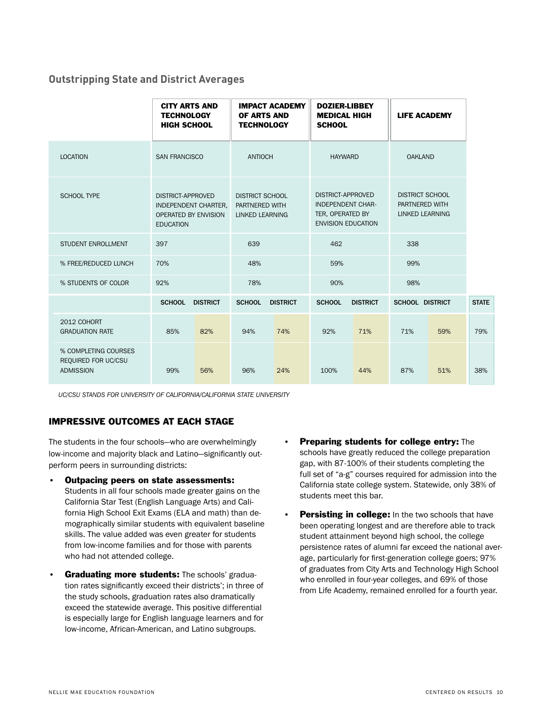### **Outstripping State and District Averages**

|                                                                 | <b>CITY ARTS AND</b><br><b>TECHNOLOGY</b><br><b>HIGH SCHOOL</b>                       |                 | <b>IMPACT ACADEMY</b><br>OF ARTS AND<br><b>TECHNOLOGY</b>          |                 | <b>DOZIER-LIBBEY</b><br><b>MEDICAL HIGH</b><br><b>SCHOOL</b>                                          |                 | <b>LIFE ACADEMY</b>                                         |     |              |
|-----------------------------------------------------------------|---------------------------------------------------------------------------------------|-----------------|--------------------------------------------------------------------|-----------------|-------------------------------------------------------------------------------------------------------|-----------------|-------------------------------------------------------------|-----|--------------|
| <b>LOCATION</b>                                                 | <b>SAN FRANCISCO</b>                                                                  |                 | <b>ANTIOCH</b>                                                     |                 | <b>HAYWARD</b>                                                                                        |                 | <b>OAKLAND</b>                                              |     |              |
| <b>SCHOOL TYPE</b>                                              | DISTRICT-APPROVED<br>INDEPENDENT CHARTER,<br>OPERATED BY ENVISION<br><b>EDUCATION</b> |                 | <b>DISTRICT SCHOOL</b><br>PARTNERED WITH<br><b>LINKED LEARNING</b> |                 | <b>DISTRICT-APPROVED</b><br><b>INDEPENDENT CHAR-</b><br>TER, OPERATED BY<br><b>ENVISION EDUCATION</b> |                 | <b>DISTRICT SCHOOL</b><br>PARTNERED WITH<br>LINKED LEARNING |     |              |
| STUDENT ENROLLMENT                                              | 397                                                                                   |                 | 639                                                                |                 | 462                                                                                                   |                 | 338                                                         |     |              |
| % FREE/REDUCED LUNCH                                            | 70%                                                                                   |                 | 48%                                                                |                 | 59%                                                                                                   |                 | 99%                                                         |     |              |
| % STUDENTS OF COLOR                                             | 92%                                                                                   |                 | 78%                                                                |                 | 90%                                                                                                   |                 | 98%                                                         |     |              |
|                                                                 | <b>SCHOOL</b>                                                                         | <b>DISTRICT</b> | <b>SCHOOL</b>                                                      | <b>DISTRICT</b> | <b>SCHOOL</b>                                                                                         | <b>DISTRICT</b> | <b>SCHOOL DISTRICT</b>                                      |     | <b>STATE</b> |
| 2012 COHORT<br><b>GRADUATION RATE</b>                           | 85%                                                                                   | 82%             | 94%                                                                | 74%             | 92%                                                                                                   | 71%             | 71%                                                         | 59% | 79%          |
| % COMPLETING COURSES<br>REQUIRED FOR UC/CSU<br><b>ADMISSION</b> | 99%                                                                                   | 56%             | 96%                                                                | 24%             | 100%                                                                                                  | 44%             | 87%                                                         | 51% | 38%          |

*UC/CSU STANDS FOR UNIVERSITY OF CALIFORNIA/CALIFORNIA STATE UNIVERSITY*

### IMPRESSIVE OUTCOMES AT EACH STAGE

The students in the four schools—who are overwhelmingly low-income and majority black and Latino—significantly outperform peers in surrounding districts:

- Outpacing peers on state assessments: Students in all four schools made greater gains on the California Star Test (English Language Arts) and California High School Exit Exams (ELA and math) than demographically similar students with equivalent baseline skills. The value added was even greater for students from low-income families and for those with parents who had not attended college.
- Graduating more students: The schools' graduation rates significantly exceed their districts'; in three of the study schools, graduation rates also dramatically exceed the statewide average. This positive differential is especially large for English language learners and for low-income, African-American, and Latino subgroups.
- **Preparing students for college entry:** The schools have greatly reduced the college preparation gap, with 87-100% of their students completing the full set of "a-g" courses required for admission into the California state college system. Statewide, only 38% of students meet this bar.
- Persisting in college: In the two schools that have been operating longest and are therefore able to track student attainment beyond high school, the college persistence rates of alumni far exceed the national average, particularly for first-generation college goers; 97% of graduates from City Arts and Technology High School who enrolled in four-year colleges, and 69% of those from Life Academy, remained enrolled for a fourth year.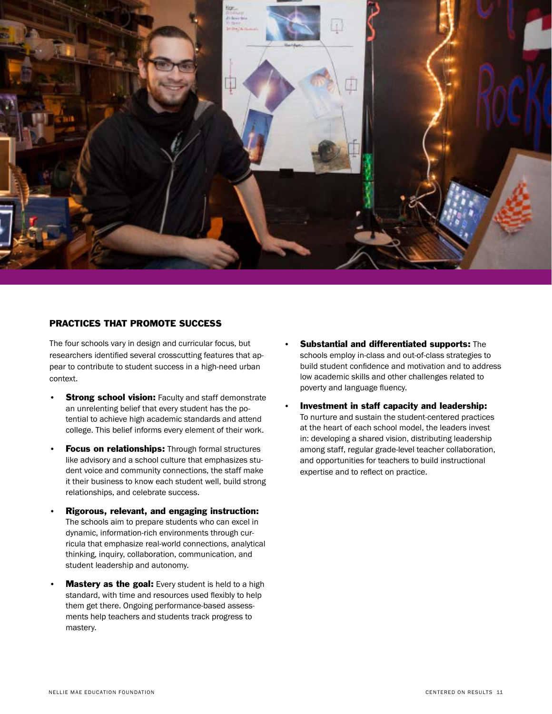

### PRACTICES THAT PROMOTE SUCCESS

The four schools vary in design and curricular focus, but researchers identified several crosscutting features that appear to contribute to student success in a high-need urban context.

- **Strong school vision:** Faculty and staff demonstrate an unrelenting belief that every student has the potential to achieve high academic standards and attend college. This belief informs every element of their work.
- **Focus on relationships:** Through formal structures like advisory and a school culture that emphasizes student voice and community connections, the staff make it their business to know each student well, build strong relationships, and celebrate success.
- Rigorous, relevant, and engaging instruction: The schools aim to prepare students who can excel in dynamic, information-rich environments through curricula that emphasize real-world connections, analytical thinking, inquiry, collaboration, communication, and student leadership and autonomy.
- **Mastery as the goal:** Every student is held to a high standard, with time and resources used flexibly to help them get there. Ongoing performance-based assessments help teachers and students track progress to mastery.
- Substantial and differentiated supports: The schools employ in-class and out-of-class strategies to build student confidence and motivation and to address low academic skills and other challenges related to poverty and language fluency.
- Investment in staff capacity and leadership: To nurture and sustain the student-centered practices at the heart of each school model, the leaders invest in: developing a shared vision, distributing leadership among staff, regular grade-level teacher collaboration, and opportunities for teachers to build instructional expertise and to reflect on practice.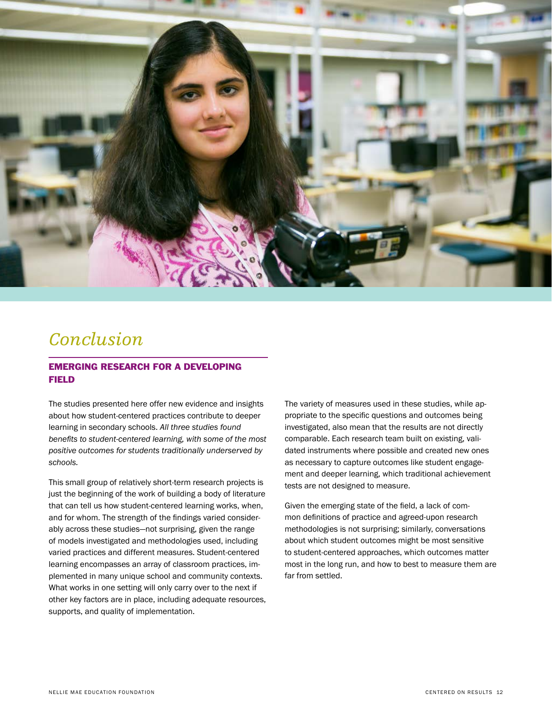

### *Conclusion*

### EMERGING RESEARCH FOR A DEVELOPING FIELD

The studies presented here offer new evidence and insights about how student-centered practices contribute to deeper learning in secondary schools. *All three studies found benefits to student-centered learning, with some of the most positive outcomes for students traditionally underserved by schools.* 

This small group of relatively short-term research projects is just the beginning of the work of building a body of literature that can tell us how student-centered learning works, when, and for whom. The strength of the findings varied considerably across these studies—not surprising, given the range of models investigated and methodologies used, including varied practices and different measures. Student-centered learning encompasses an array of classroom practices, implemented in many unique school and community contexts. What works in one setting will only carry over to the next if other key factors are in place, including adequate resources, supports, and quality of implementation.

The variety of measures used in these studies, while appropriate to the specific questions and outcomes being investigated, also mean that the results are not directly comparable. Each research team built on existing, validated instruments where possible and created new ones as necessary to capture outcomes like student engagement and deeper learning, which traditional achievement tests are not designed to measure.

Given the emerging state of the field, a lack of common definitions of practice and agreed-upon research methodologies is not surprising; similarly, conversations about which student outcomes might be most sensitive to student-centered approaches, which outcomes matter most in the long run, and how to best to measure them are far from settled.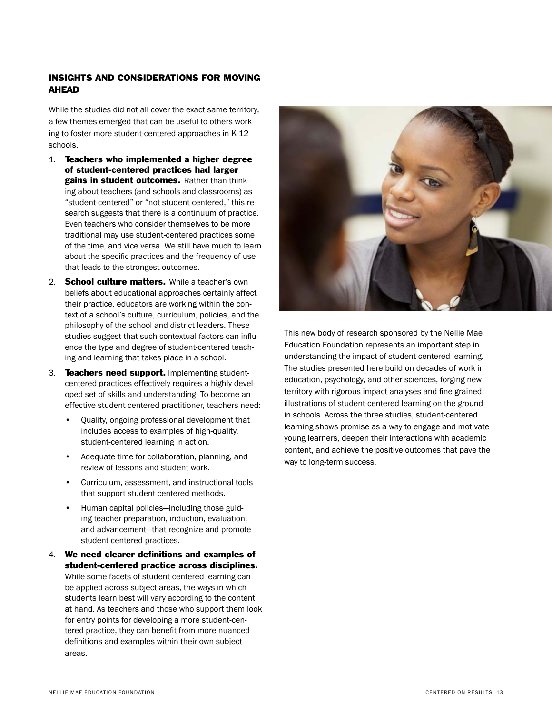### INSIGHTS AND CONSIDERATIONS FOR MOVING **AHEAD**

While the studies did not all cover the exact same territory, a few themes emerged that can be useful to others working to foster more student-centered approaches in K-12 schools.

- 1. Teachers who implemented a higher degree of student-centered practices had larger gains in student outcomes. Rather than thinking about teachers (and schools and classrooms) as "student-centered" or "not student-centered," this research suggests that there is a continuum of practice. Even teachers who consider themselves to be more traditional may use student-centered practices some of the time, and vice versa. We still have much to learn about the specific practices and the frequency of use that leads to the strongest outcomes.
- 2. School culture matters. While a teacher's own beliefs about educational approaches certainly affect their practice, educators are working within the context of a school's culture, curriculum, policies, and the philosophy of the school and district leaders. These studies suggest that such contextual factors can influence the type and degree of student-centered teaching and learning that takes place in a school.
- 3. Teachers need support. Implementing studentcentered practices effectively requires a highly developed set of skills and understanding. To become an effective student-centered practitioner, teachers need:
	- Quality, ongoing professional development that includes access to examples of high-quality, student-centered learning in action.
	- Adequate time for collaboration, planning, and review of lessons and student work.
	- Curriculum, assessment, and instructional tools that support student-centered methods.
	- Human capital policies—including those guiding teacher preparation, induction, evaluation, and advancement—that recognize and promote student-centered practices.
- 4. We need clearer definitions and examples of student-centered practice across disciplines. While some facets of student-centered learning can be applied across subject areas, the ways in which students learn best will vary according to the content at hand. As teachers and those who support them look for entry points for developing a more student-centered practice, they can benefit from more nuanced definitions and examples within their own subject areas.



This new body of research sponsored by the Nellie Mae Education Foundation represents an important step in understanding the impact of student-centered learning. The studies presented here build on decades of work in education, psychology, and other sciences, forging new territory with rigorous impact analyses and fine-grained illustrations of student-centered learning on the ground in schools. Across the three studies, student-centered learning shows promise as a way to engage and motivate young learners, deepen their interactions with academic content, and achieve the positive outcomes that pave the way to long-term success.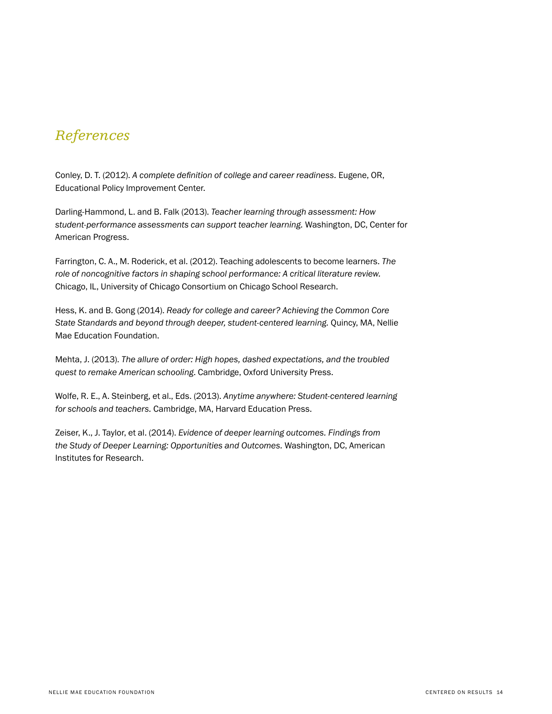### *References*

Conley, D. T. (2012). *A complete definition of college and career readiness.* Eugene, OR, Educational Policy Improvement Center.

Darling-Hammond, L. and B. Falk (2013). *Teacher learning through assessment: How student-performance assessments can support teacher learning.* Washington, DC, Center for American Progress.

Farrington, C. A., M. Roderick, et al. (2012). Teaching adolescents to become learners. *The role of noncognitive factors in shaping school performance: A critical literature review.*  Chicago, IL, University of Chicago Consortium on Chicago School Research.

Hess, K. and B. Gong (2014). *Ready for college and career? Achieving the Common Core State Standards and beyond through deeper, student-centered learning.* Quincy, MA, Nellie Mae Education Foundation.

Mehta, J. (2013). *The allure of order: High hopes, dashed expectations, and the troubled quest to remake American schooling*. Cambridge, Oxford University Press.

Wolfe, R. E., A. Steinberg, et al., Eds. (2013). *Anytime anywhere: Student-centered learning for schools and teachers.* Cambridge, MA, Harvard Education Press.

Zeiser, K., J. Taylor, et al. (2014). *Evidence of deeper learning outcomes. Findings from the Study of Deeper Learning: Opportunities and Outcomes.* Washington, DC, American Institutes for Research.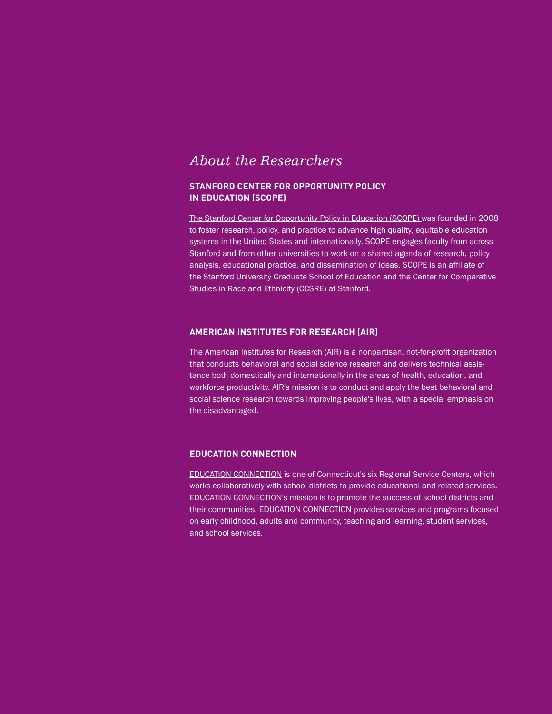### *About the Researchers*

### **STANFORD CENTER FOR OPPORTUNITY POLICY IN EDUCATION (SCOPE)**

[The Stanford Center for Opportunity Policy in Education \(SCOPE\) w](https://edpolicy.stanford.edu/)as founded in 2008 to foster research, policy, and practice to advance high quality, equitable education systems in the United States and internationally. SCOPE engages faculty from across Stanford and from other universities to work on a shared agenda of research, policy analysis, educational practice, and dissemination of ideas. SCOPE is an affiliate of the Stanford University Graduate School of Education and the Center for Comparative Studies in Race and Ethnicity (CCSRE) at Stanford.

#### **AMERICAN INSTITUTES FOR RESEARCH (AIR)**

[The American Institutes for Research \(AIR\)](http://www.air.org/) is a nonpartisan, not-for-profit organization that conducts behavioral and social science research and delivers technical assistance both domestically and internationally in the areas of health, education, and workforce productivity. AIR's mission is to conduct and apply the best behavioral and social science research towards improving people's lives, with a special emphasis on the disadvantaged.

#### **EDUCATION CONNECTION**

[EDUCATION CONNECTION](http://educationconnection.org/) is one of Connecticut's six Regional Service Centers, which works collaboratively with school districts to provide educational and related services. EDUCATION CONNECTION's mission is to promote the success of school districts and their communities. EDUCATION CONNECTION provides services and programs focused on early childhood, adults and community, teaching and learning, student services, and school services.